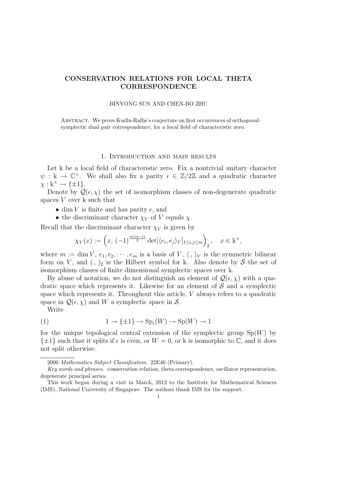# CONSERVATION RELATIONS FOR LOCAL THETA **CORRESPONDENCE**

#### BINYONG SUN AND CHEN-BO ZHU

ABSTRACT. We prove Kudla-Rallis's conjecture on first occurrences of orthogonalsymplectic dual pair correspondence, for a local field of characteristic zero.

## 1. Introduction and main results

Let k be a local field of characteristic zero. Fix a nontrivial unitary character  $\psi : \mathbf{k} \to \mathbb{C}^\times$ . We shall also fix a parity  $\epsilon \in \mathbb{Z}/2\mathbb{Z}$  and a quadratic character  $\chi : \mathbf{k}^{\times} \to \{\pm 1\}.$ 

Denote by  $\mathcal{Q}(\epsilon, \chi)$  the set of isomorphism classes of non-degenerate quadratic spaces V over k such that

- dim V is finite and has parity  $\epsilon$ , and
- the discriminant character  $\chi_V$  of V equals  $\chi$ .

Recall that the discriminant character  $\chi_V$  is given by

$$
\chi_V(x) := \left(x, \, (-1)^{\frac{m(m-1)}{2}} \det[\langle e_i, e_j \rangle_V]_{1 \le i,j \le m} \right)_2, \quad x \in \mathbf{k}^\times,
$$

where  $m := \dim V, e_1, e_2, \cdots, e_m$  is a basis of  $V, \langle, \rangle_V$  is the symmetric bilinear form on V, and  $($ ,  $)_2$  is the Hilbert symbol for k. Also denote by S the set of isomorphism classes of finite dimensional symplectic spaces over k.

By abuse of notation, we do not distinguish an element of  $\mathcal{Q}(\epsilon, \chi)$  with a quadratic space which represents it. Likewise for an element of  $\mathcal S$  and a symplectic space which represents it. Throughout this article, V always refers to a quadratic space in  $\mathcal{Q}(\epsilon,\chi)$  and W a symplectic space in S.

Write

(1) 
$$
1 \to {\{\pm 1\}} \to \text{Sp}_{\epsilon}(W) \to \text{Sp}(W) \to 1
$$

for the unique topological central extension of the symplectic group  $Sp(W)$  by  $\{\pm 1\}$  such that it splits if  $\epsilon$  is even, or  $W = 0$ , or k is isomorphic to  $\mathbb{C}$ , and it does not split otherwise.

<sup>2000</sup> Mathematics Subject Classification. 22E46 (Primary).

Key words and phrases. conservation relation, theta correspondence, oscillator representation, degenerate principal series.

This work began during a visit in March, 2012 to the Institute for Mathematical Sciences (IMS), National University of Singapore. The authors thank IMS for the support.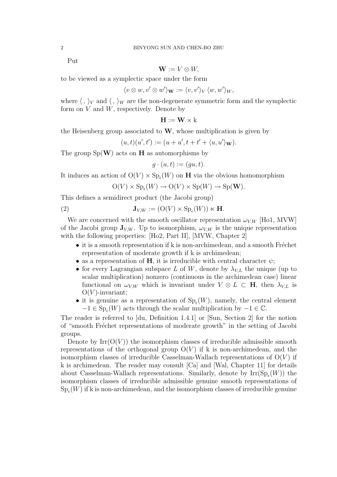Put

$$
\mathbf{W} := V \otimes W,
$$

to be viewed as a symplectic space under the form

$$
\langle v \otimes w, v' \otimes w' \rangle_{\mathbf{W}} := \langle v, v' \rangle_V \langle w, w' \rangle_W,
$$

where  $\langle , \rangle_V$  and  $\langle , \rangle_W$  are the non-degenerate symmetric form and the symplectic form on  $V$  and  $W$ , respectively. Denote by

$$
\mathbf{H} := \mathbf{W} \times k
$$

the Heisenberg group associated to  $W$ , whose multiplication is given by

$$
(u,t)(u',t') := (u+u',t+t'+\langle u,u'\rangle_{\mathbf{W}}).
$$

The group  $Sp(W)$  acts on **H** as automorphisms by

$$
g \cdot (u, t) := (gu, t).
$$

It induces an action of  $O(V) \times Sp_{\epsilon}(W)$  on **H** via the obvious homomorphism

$$
O(V) \times Sp_{\epsilon}(W) \to O(V) \times Sp(W) \to Sp(\mathbf{W}).
$$

This defines a semidirect product (the Jacobi group)

(2) 
$$
\mathbf{J}_{V,W} := (\mathcal{O}(V) \times \mathcal{S} \mathcal{p}_{\epsilon}(W)) \ltimes \mathbf{H}.
$$

We are concerned with the smooth oscillator representation  $\omega_{V,W}$  [Ho1, MVW] of the Jacobi group  $\mathbf{J}_{V,W}$ . Up to isomorphism,  $\omega_{V,W}$  is the unique representation with the following properties: [Ho2, Part II], [MVW, Chapter 2]

- $\bullet$  it is a smooth representation if k is non-archimedean, and a smooth Fréchet representation of moderate growth if k is archimedean;
- as a representation of H, it is irreducible with central character  $\psi$ ;
- for every Lagrangian subspace L of W, denote by  $\lambda_{VL}$  the unique (up to scalar multiplication) nonzero (continuous in the archimedean case) linear functional on  $\omega_{V,W}$  which is invariant under  $V \otimes L \subset \mathbf{H}$ , then  $\lambda_{V,L}$  is  $O(V)$ -invariant;
- it is genuine as a representation of  $Sp_{\epsilon}(W)$ , namely, the central element  $-1 \in \text{Sp}_{\epsilon}(W)$  acts through the scalar multiplication by  $-1 \in \mathbb{C}$ .

The reader is referred to [du, Definition 1.4.1] or [Sun, Section 2] for the notion of "smooth Fréchet representations of moderate growth" in the setting of Jacobi groups.

Denote by  $\text{Irr}(\text{O}(V))$  the isomorphism classes of irreducible admissible smooth representations of the orthogonal group  $O(V)$  if k is non-archimedean, and the isomorphism classes of irreducible Casselman-Wallach representations of  $O(V)$  if k is archimedean. The reader may consult [Ca] and [Wal, Chapter 11] for details about Casselman-Wallach representations. Similarly, denote by  $\text{Irr}(\text{Sp}_{\epsilon}(W))$  the isomorphism classes of irreducible admissible genuine smooth representations of  $\mathrm{Sp}_{\epsilon}(W)$  if k is non-archimedean, and the isomorphism classes of irreducible genuine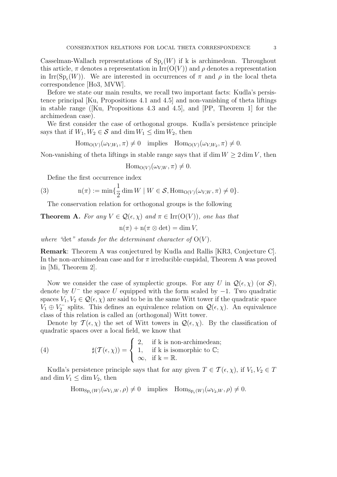Casselman-Wallach representations of  $\text{Sp}_{\epsilon}(W)$  if k is archimedean. Throughout this article,  $\pi$  denotes a representation in  $\text{Irr}(\text{O}(V))$  and  $\rho$  denotes a representation in Irr( $\text{Sp}_{\epsilon}(W)$ ). We are interested in occurrences of  $\pi$  and  $\rho$  in the local theta correspondence [Ho3, MVW].

Before we state our main results, we recall two important facts: Kudla's persistence principal [Ku, Propositions 4.1 and 4.5] and non-vanishing of theta liftings in stable range ([Ku, Propositions 4.3 and 4.5], and [PP, Theorem 1] for the archimedean case).

We first consider the case of orthogonal groups. Kudla's persistence principle says that if  $W_1, W_2 \in \mathcal{S}$  and dim  $W_1 \le \dim W_2$ , then

 $\text{Hom}_{O(V)}(\omega_{V,W_1}, \pi) \neq 0$  implies  $\text{Hom}_{O(V)}(\omega_{V,W_2}, \pi) \neq 0$ .

Non-vanishing of theta liftings in stable range says that if dim  $W \geq 2 \dim V$ , then

 $\text{Hom}_{\Omega(V)}(\omega_{V,W}, \pi) \neq 0.$ 

Define the first occurrence index

(3) 
$$
n(\pi) := \min\left\{\frac{1}{2}\dim W \mid W \in \mathcal{S}, \text{Hom}_{O(V)}(\omega_{V,W}, \pi) \neq 0\right\}.
$$

The conservation relation for orthogonal groups is the following

**Theorem A.** For any  $V \in \mathcal{Q}(\epsilon, \chi)$  and  $\pi \in \text{Irr}(\mathcal{O}(V))$ , one has that  $n(1) + n(1) \geq 1+1$ 

$$
\mathrm{n}(\pi)+\mathrm{n}(\pi\otimes\det)=\dim V
$$

where "det" stands for the determinant character of  $O(V)$ .

Remark: Theorem A was conjectured by Kudla and Rallis [KR3, Conjecture C]. In the non-archimedean case and for  $\pi$  irreducible cuspidal, Theorem A was proved in [Mi, Theorem 2].

Now we consider the case of symplectic groups. For any U in  $\mathcal{Q}(\epsilon,\chi)$  (or  $\mathcal{S}$ ), denote by  $U^-$  the space U equipped with the form scaled by  $-1$ . Two quadratic spaces  $V_1, V_2 \in \mathcal{Q}(\epsilon, \chi)$  are said to be in the same Witt tower if the quadratic space  $V_1 \oplus V_2^-$  splits. This defines an equivalence relation on  $\mathcal{Q}(\epsilon,\chi)$ . An equivalence class of this relation is called an (orthogonal) Witt tower.

Denote by  $\mathcal{T}(\epsilon,\chi)$  the set of Witt towers in  $\mathcal{Q}(\epsilon,\chi)$ . By the classification of quadratic spaces over a local field, we know that

(4) 
$$
\sharp(\mathcal{T}(\epsilon,\chi)) = \begin{cases} 2, & \text{if k is non-archimedean;} \\ 1, & \text{if k is isomorphic to } \mathbb{C}; \\ \infty, & \text{if k = R.} \end{cases}
$$

Kudla's persistence principle says that for any given  $T \in \mathcal{T}(\epsilon, \chi)$ , if  $V_1, V_2 \in T$ and dim  $V_1 \leq \dim V_2$ , then

$$
\mathrm{Hom}_{\mathrm{Sp}_{\epsilon}(W)}(\omega_{V_1,W},\rho)\neq 0 \quad \text{implies} \quad \mathrm{Hom}_{\mathrm{Sp}_{\epsilon}(W)}(\omega_{V_2,W},\rho)\neq 0.
$$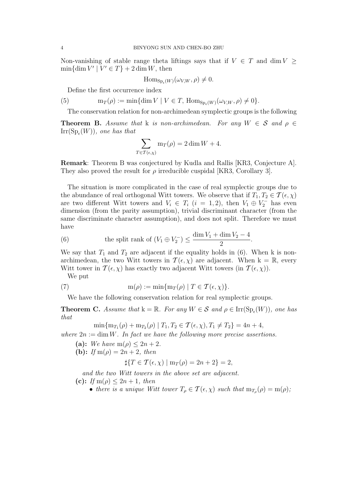Non-vanishing of stable range theta liftings says that if  $V \in T$  and dim  $V \geq$  $\min{\dim V' | V' \in T} + 2 \dim W$ , then

$$
\mathrm{Hom}_{\mathrm{Sp}_{\epsilon}(W)}(\omega_{V,W},\rho)\neq 0.
$$

Define the first occurrence index

(5)  $m_T(\rho) := \min\{\dim V \mid V \in T, \, \text{Hom}_{\text{Sp}_{\epsilon}(W)}(\omega_{V,W}, \rho) \neq 0\}.$ 

The conservation relation for non-archimedean symplectic groups is the following

**Theorem B.** Assume that k is non-archimedean. For any  $W \in \mathcal{S}$  and  $\rho \in \mathcal{S}$  $\mathrm{Irr}(\mathrm{Sp}_{\epsilon}(W)),$  one has that

$$
\sum_{T \in \mathcal{T}(\epsilon,\chi)} \mathbf{m}_T(\rho) = 2 \dim W + 4.
$$

Remark: Theorem B was conjectured by Kudla and Rallis [KR3, Conjecture A]. They also proved the result for  $\rho$  irreducible cuspidal [KR3, Corollary 3].

The situation is more complicated in the case of real symplectic groups due to the abundance of real orthogonal Witt towers. We observe that if  $T_1, T_2 \in \mathcal{T}(\epsilon, \chi)$ are two different Witt towers and  $V_i \in T_i$   $(i = 1, 2)$ , then  $V_1 \oplus V_2^-$  has even dimension (from the parity assumption), trivial discriminant character (from the same discriminate character assumption), and does not split. Therefore we must have

(6) the split rank of 
$$
(V_1 \oplus V_2^-) \leq \frac{\dim V_1 + \dim V_2 - 4}{2}
$$
.

We say that  $T_1$  and  $T_2$  are adjacent if the equality holds in (6). When k is nonarchimedean, the two Witt towers in  $\mathcal{T}(\epsilon,\chi)$  are adjacent. When  $k = \mathbb{R}$ , every Witt tower in  $T(\epsilon, \chi)$  has exactly two adjacent Witt towers (in  $T(\epsilon, \chi)$ ).

We put

(7) 
$$
m(\rho) := \min\{m_T(\rho) \mid T \in \mathcal{T}(\epsilon, \chi)\}.
$$

We have the following conservation relation for real symplectic groups.

**Theorem C.** Assume that  $k = \mathbb{R}$ . For any  $W \in \mathcal{S}$  and  $\rho \in \text{Irr}(\text{Sp}_{\epsilon}(W))$ , one has that

 $\min\{m_{T_1}(\rho)+m_{T_2}(\rho) \mid T_1, T_2 \in \mathcal{T}(\epsilon, \chi), T_1 \neq T_2\} = 4n+4,$ 

where  $2n := \dim W$ . In fact we have the following more precise assertions.

(a): We have m( $\rho$ )  $\leq 2n+2$ .

(b): If m( $\rho$ ) = 2n + 2, then

 $\sharp\{T\in\mathcal{T}(\epsilon,\chi)\mid\mathrm{m}_{\mathcal{T}}(\rho)=2n+2\}=2,$ 

and the two Witt towers in the above set are adjacent. (c): If m( $\rho$ )  $\leq 2n+1$ , then

• there is a unique Witt tower  $T_\rho \in \mathcal{T}(\epsilon, \chi)$  such that  $m_{T_\rho}(\rho) = m(\rho)$ ;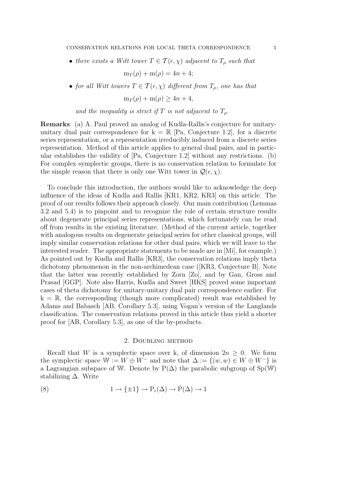• there exists a Witt tower  $T \in \mathcal{T}(\epsilon, \chi)$  adjacent to  $T_{\rho}$  such that

 $m_T(\rho) + m(\rho) = 4n + 4;$ 

• for all Witt towers  $T \in \mathcal{T}(\epsilon, \chi)$  different from  $T_{\rho}$ , one has that

 $m_T(\rho) + m(\rho) \ge 4n + 4,$ 

and the inequality is strict if T is not adjacent to  $T<sub>o</sub>$ .

Remarks: (a) A. Paul proved an analog of Kudla-Rallis's conjecture for unitaryunitary dual pair correspondence for  $k = \mathbb{R}$  [Pa, Conjecture 1.2], for a discrete series representation, or a representation irreducibly induced from a discrete series representation. Method of this article applies to general dual pairs, and in particular establishes the validity of [Pa, Conjecture 1.2] without any restrictions. (b) For complex symplectic groups, there is no conservation relation to formulate for the simple reason that there is only one Witt tower in  $\mathcal{Q}(\epsilon,\chi)$ .

To conclude this introduction, the authors would like to acknowledge the deep influence of the ideas of Kudla and Rallis [KR1, KR2, KR3] on this article. The proof of our results follows their approach closely. Our main contribution (Lemmas 3.2 and 5.4) is to pinpoint and to recognize the role of certain structure results about degenerate principal series representations, which fortunately can be read off from results in the existing literature. (Method of the current article, together with analogous results on degenerate principal series for other classical groups, will imply similar conservation relations for other dual pairs, which we will leave to the interested reader. The appropriate statements to be made are in [Mi], for example.) As pointed out by Kudla and Rallis [KR3], the conservation relations imply theta dichotomy phenomenon in the non-archimedean case ([KR3, Conjecture B]. Note that the latter was recently established by Zorn [Zo], and by Gan, Gross and Prasad [GGP]. Note also Harris, Kudla and Sweet [HKS] proved some important cases of theta dichotomy for unitary-unitary dual pair correspondence earlier. For  $k = \mathbb{R}$ , the corresponding (though more complicated) result was established by Adams and Babasch [AB, Corollary 5.3], using Vogan's version of the Langlands classification. The conservation relations proved in this article thus yield a shorter proof for [AB, Corollary 5.3], as one of the by-products.

### 2. Doubling method

Recall that W is a symplectic space over k, of dimension  $2n \geq 0$ . We form the symplectic space  $W := W \oplus W^-$  and note that  $\Delta := \{(w, w) \in W \oplus W^- \}$  is a Lagrangian subspace of W. Denote by  $P(\Delta)$  the parabolic subgroup of Sp(W) stabilizing ∆. Write

(8) 
$$
1 \to \{\pm 1\} \to P_{\epsilon}(\Delta) \to P(\Delta) \to 1
$$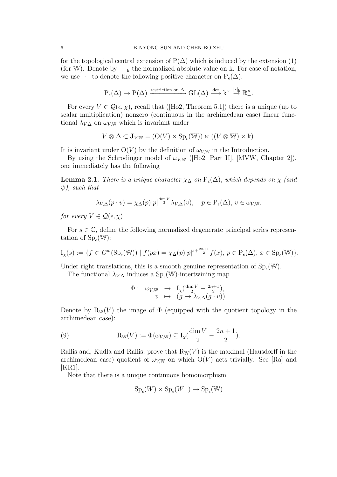for the topological central extension of  $P(\Delta)$  which is induced by the extension (1) (for W). Denote by  $|\cdot|_k$  the normalized absolute value on k. For ease of notation, we use  $|\cdot|$  to denote the following positive character on  $P_{\epsilon}(\Delta)$ :

$$
P_{\epsilon}(\Delta) \to P(\Delta) \xrightarrow{\text{restriction on } \Delta} GL(\Delta) \xrightarrow{\det} k^{\times} \xrightarrow{| \cdot |_k} \mathbb{R}^{\times}_{+}.
$$

For every  $V \in \mathcal{Q}(\epsilon, \chi)$ , recall that ([Ho2, Theorem 5.1]) there is a unique (up to scalar multiplication) nonzero (continuous in the archimedean case) linear functional  $\lambda_{V,\Delta}$  on  $\omega_{V,W}$  which is invariant under

$$
V \otimes \Delta \subset \mathbf{J}_{V,\mathbb{W}} = (\mathcal{O}(V) \times \mathrm{Sp}_{\epsilon}(\mathbb{W})) \ltimes ((V \otimes \mathbb{W}) \times k).
$$

It is invariant under  $O(V)$  by the definition of  $\omega_{V,W}$  in the Introduction.

By using the Schrodinger model of  $\omega_{V,W}$  ([Ho2, Part II], [MVW, Chapter 2]), one immediately has the following

**Lemma 2.1.** There is a unique character  $\chi_{\Delta}$  on  $P_{\epsilon}(\Delta)$ , which depends on  $\chi$  (and  $\psi$ ), such that

$$
\lambda_{V,\Delta}(p \cdot v) = \chi_{\Delta}(p)|p|^{\frac{\dim V}{2}} \lambda_{V,\Delta}(v), \quad p \in \mathcal{P}_{\epsilon}(\Delta), \ v \in \omega_{V,W}.
$$

for every  $V \in \mathcal{Q}(\epsilon, \chi)$ .

For  $s \in \mathbb{C}$ , define the following normalized degenerate principal series representation of  $\mathrm{Sp}_{\epsilon}(\mathbb{W})$ :

$$
I_{\chi}(s) := \{ f \in C^{\infty}(\mathrm{Sp}_{\epsilon}(\mathbb{W})) \mid f(px) = \chi_{\Delta}(p)|p|^{s + \frac{2n+1}{2}} f(x), \ p \in \mathrm{P}_{\epsilon}(\Delta), \ x \in \mathrm{Sp}_{\epsilon}(\mathbb{W}) \}.
$$

Under right translations, this is a smooth genuine representation of  $Sp_{\epsilon}(\mathbb{W})$ .

The functional  $\lambda_{V,\Delta}$  induces a  $Sp_{\epsilon}(\mathbb{W})$ -intertwining map

$$
\Phi: \omega_{V,\mathbb{W}} \rightarrow I_{\chi}(\frac{\dim V}{2} - \frac{2n+1}{2}),
$$
  

$$
v \mapsto (g \mapsto \lambda_{V,\Delta}(g \cdot v)).
$$

Denote by  $R_W(V)$  the image of  $\Phi$  (equipped with the quotient topology in the archimedean case):

(9) 
$$
R_{W}(V) := \Phi(\omega_{V,W}) \subseteq I_{\chi}(\frac{\dim V}{2} - \frac{2n+1}{2}).
$$

Rallis and, Kudla and Rallis, prove that  $R_W(V)$  is the maximal (Hausdorff in the archimedean case) quotient of  $\omega_{V,W}$  on which  $O(V)$  acts trivially. See [Ra] and  $|KR1|$ .

Note that there is a unique continuous homomorphism

$$
Sp_{\epsilon}(W) \times Sp_{\epsilon}(W^{-}) \to Sp_{\epsilon}(\mathbb{W})
$$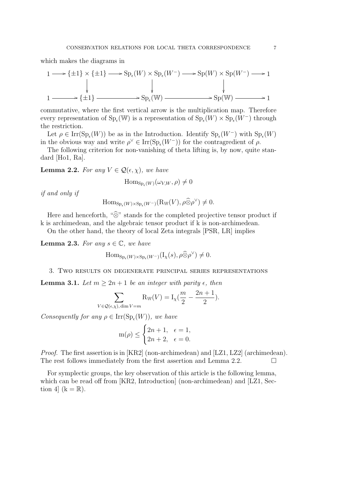which makes the diagrams in

$$
1 \longrightarrow {\pm 1} \times {\pm 1} \longrightarrow Sp_{\epsilon}(W) \times Sp_{\epsilon}(W^{-}) \longrightarrow Sp(W) \times Sp(W^{-}) \longrightarrow 1
$$
  
\n
$$
\downarrow \qquad \qquad \downarrow
$$
  
\n
$$
1 \longrightarrow {\pm 1} \longrightarrow Sp_{\epsilon}(W) \longrightarrow Sp(W) \longrightarrow 1
$$

commutative, where the first vertical arrow is the multiplication map. Therefore every representation of  $\text{Sp}_{\epsilon}(\mathbb{W})$  is a representation of  $\text{Sp}_{\epsilon}(W) \times \text{Sp}_{\epsilon}(W^{-})$  through the restriction.

Let  $\rho \in \text{Irr}(\text{Sp}_{\epsilon}(W))$  be as in the Introduction. Identify  $\text{Sp}_{\epsilon}(W^-)$  with  $\text{Sp}_{\epsilon}(W)$ in the obvious way and write  $\rho^{\vee} \in \text{Irr}(\text{Sp}_{\epsilon}(W^-))$  for the contragredient of  $\rho$ .

The following criterion for non-vanishing of theta lifting is, by now, quite standard [Ho1, Ra].

**Lemma 2.2.** For any  $V \in \mathcal{Q}(\epsilon, \chi)$ , we have

 $\text{Hom}_{\text{Sp}_{\epsilon}(W)}(\omega_{V,W}, \rho) \neq 0$ 

if and only if

$$
\mathrm{Hom}_{\mathrm{Sp}_{\epsilon}(W)\times\mathrm{Sp}_{\epsilon}(W^-)}(\mathrm{R}_\mathbb{W}(V),\rho\widehat{\otimes}\rho^\vee)\neq 0.
$$

Here and henceforth, " $\hat{\otimes}$ " stands for the completed projective tensor product if k is archimedean, and the algebraic tensor product if k is non-archimedean.

On the other hand, the theory of local Zeta integrals [PSR, LR] implies

**Lemma 2.3.** For any  $s \in \mathbb{C}$ , we have

$$
\mathrm{Hom}_{\mathrm{Sp}_{\epsilon}(W)\times\mathrm{Sp}_{\epsilon}(W^-)}(\mathrm{I}_{\chi}(s),\rho\widehat{\otimes}\rho^{\vee})\neq 0.
$$

3. Two results on degenerate principal series representations

**Lemma 3.1.** Let  $m \geq 2n + 1$  be an integer with parity  $\epsilon$ , then

$$
\sum_{V \in \mathcal{Q}(\epsilon,\chi), \dim V = m} \mathcal{R}_{\mathbb{W}}(V) = I_{\chi}(\frac{m}{2} - \frac{2n+1}{2}).
$$

Consequently for any  $\rho \in \text{Irr}(\text{Sp}_{\epsilon}(W))$ , we have

$$
m(\rho)\leq\begin{cases} 2n+1, & \epsilon=1,\\ 2n+2, & \epsilon=0. \end{cases}
$$

*Proof.* The first assertion is in [KR2] (non-archimedean) and [LZ1, LZ2] (archimedean). The rest follows immediately from the first assertion and Lemma 2.2.

For symplectic groups, the key observation of this article is the following lemma, which can be read off from [KR2, Introduction] (non-archimedean) and [LZ1, Section 4]  $(k = \mathbb{R})$ .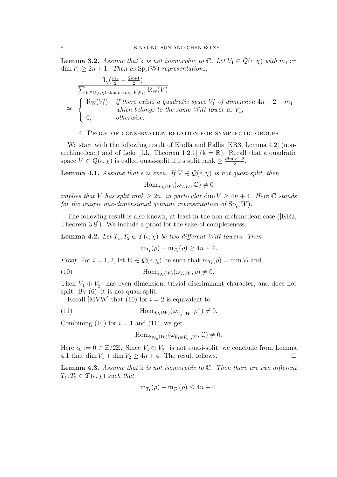**Lemma 3.2.** Assume that k is not isomorphic to  $\mathbb{C}$ . Let  $V_1 \in \mathcal{Q}(\epsilon, \chi)$  with  $m_1 :=$  $\dim V_1 \geq 2n+1$ . Then as  $\text{Sp}_{\epsilon}(\mathbb{W})$ -representations,

$$
\frac{I_{\chi}(\frac{m_1}{2} - \frac{2n+1}{2})}{\sum_{V \in \mathcal{Q}(\epsilon,\chi), \dim V = m_1, V \ncong V_1} R_{\mathbb{W}}(V)}
$$
\n
$$
\cong \begin{cases} R_{\mathbb{W}}(V_1'), & if there exists a quadratic space V_1' of dimension 4n + 2 - m_1 \\ & which belongs to the same Witt tower as V_1; \\ 0, & otherwise. \end{cases}
$$

#### 4. Proof of conservation relation for symplectic groups

We start with the following result of Kudla and Rallis [KR3, Lemma 4.2] (nonarchimedean) and of Loke [LL, Theorem 1.2.1]  $(k = \mathbb{R})$ . Recall that a quadratic space  $V \in \mathcal{Q}(\epsilon, \chi)$  is called quasi-split if its split rank  $\geq \frac{\dim V - 2}{2}$  $\frac{V-2}{2}$ .

**Lemma 4.1.** Assume that  $\epsilon$  is even. If  $V \in \mathcal{Q}(\epsilon, \chi)$  is not quasi-split, then

 $\text{Hom}_{\text{Sp}_{\epsilon}(W)}(\omega_{V,W}, \mathbb{C}) \neq 0$ 

implies that V has split rank  $\geq 2n$ , in particular dim  $V \geq 4n + 4$ . Here C stands for the unique one-dimensional genuine representation of  $\mathrm{Sp}_{\epsilon}(W)$ .

The following result is also known, at least in the non-archimedean case ([KR3, Theorem 3.8]). We include a proof for the sake of completeness.

**Lemma 4.2.** Let  $T_1, T_2 \in \mathcal{T}(\epsilon, \chi)$  be two different Witt towers. Then

 $m_{T_1}(\rho) + m_{T_2}(\rho) \ge 4n + 4.$ 

*Proof.* For  $i = 1, 2$ , let  $V_i \in \mathcal{Q}(\epsilon, \chi)$  be such that  $m_{T_i}(\rho) = \dim V_i$  and

(10) 
$$
\operatorname{Hom}_{\operatorname{Sp}_{\epsilon}(W)}(\omega_{V_i,W}, \rho) \neq 0.
$$

Then  $V_1 \oplus V_2^-$  has even dimension, trivial discriminant character, and does not split. By  $(6)$ , it is not quasi-split.

Recall [MVW] that (10) for  $i = 2$  is equivalent to

(11) 
$$
\operatorname{Hom}_{\operatorname{Sp}_{\epsilon}(W)}(\omega_{V_2^-,W},\rho^{\vee}) \neq 0.
$$

Combining (10) for  $i = 1$  and (11), we get

$$
\mathrm{Hom}_{\mathrm{Sp}_{\epsilon_0}(W)}(\omega_{V_1 \oplus V_2^-,W},\mathbb{C}) \neq 0.
$$

Here  $\epsilon_0 := 0 \in \mathbb{Z}/2\mathbb{Z}$ . Since  $V_1 \oplus V_2^-$  is not quasi-split, we conclude from Lemma 4.1 that dim  $V_1$  + dim  $V_2 \ge 4n + 4$ . The result follows.

**Lemma 4.3.** Assume that  $k$  is not isomorphic to  $\mathbb{C}$ . Then there are two different  $T_1, T_2 \in \mathcal{T}(\epsilon, \chi)$  such that

$$
m_{T_1}(\rho) + m_{T_2}(\rho) \le 4n + 4.
$$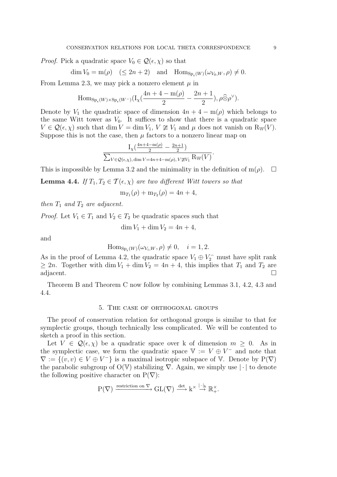*Proof.* Pick a quadratic space  $V_0 \in \mathcal{Q}(\epsilon, \chi)$  so that

$$
\dim V_0 = m(\rho) \quad (\le 2n+2) \quad \text{and} \quad \text{Hom}_{\text{Sp}_{\epsilon}(W)}(\omega_{V_0,W}, \rho) \ne 0.
$$

From Lemma 2.3, we may pick a nonzero element  $\mu$  in

$$
\mathrm{Hom}_{\mathrm{Sp}_{\epsilon}(W)\times\mathrm{Sp}_{\epsilon}(W^-)}(\mathrm{I}_{\chi}(\frac{4n+4-\mathrm{m}(\rho)}{2}-\frac{2n+1}{2}),\rho\widehat{\otimes}\rho^{\vee}).
$$

Denote by  $V_1$  the quadratic space of dimension  $4n + 4 - m(\rho)$  which belongs to the same Witt tower as  $V_0$ . It suffices to show that there is a quadratic space  $V \in \mathcal{Q}(\epsilon, \chi)$  such that dim  $V = \dim V_1$ ,  $V \not\cong V_1$  and  $\mu$  does not vanish on  $R_W(V)$ . Suppose this is not the case, then  $\mu$  factors to a nonzero linear map on

$$
\frac{\mathrm{I}_{\chi}(\frac{4n+4-\mathrm{m}(\rho)}{2}-\frac{2n+1}{2})}{\sum_{V\in\mathcal{Q}(\epsilon,\chi),\,\dim V=4n+4-\mathrm{m}(\rho),\,V\not\cong V_1}\mathrm{Rw}(V)}.
$$

This is impossible by Lemma 3.2 and the minimality in the definition of  $m(\rho)$ .  $\Box$ 

**Lemma 4.4.** If  $T_1, T_2 \in \mathcal{T}(\epsilon, \chi)$  are two different Witt towers so that

$$
m_{T_1}(\rho) + m_{T_2}(\rho) = 4n + 4,
$$

then  $T_1$  and  $T_2$  are adjacent.

*Proof.* Let  $V_1 \in T_1$  and  $V_2 \in T_2$  be quadratic spaces such that

$$
\dim V_1 + \dim V_2 = 4n + 4,
$$

and

$$
\mathrm{Hom}_{\mathrm{Sp}_{\epsilon}(W)}(\omega_{V_i,W}, \rho) \neq 0, \quad i = 1, 2.
$$

As in the proof of Lemma 4.2, the quadratic space  $V_1 \oplus V_2^-$  must have split rank  $\geq 2n$ . Together with dim  $V_1 + \dim V_2 = 4n + 4$ , this implies that  $T_1$  and  $T_2$  are adjacent.

Theorem B and Theorem C now follow by combining Lemmas 3.1, 4.2, 4.3 and 4.4.

## 5. The case of orthogonal groups

The proof of conservation relation for orthogonal groups is similar to that for symplectic groups, though technically less complicated. We will be contented to sketch a proof in this section.

Let  $V \in \mathcal{Q}(\epsilon, \chi)$  be a quadratic space over k of dimension  $m \geq 0$ . As in the symplectic case, we form the quadratic space  $V := V \oplus V^-$  and note that  $\nabla := \{(v, v) \in V \oplus V^-\}$  is a maximal isotropic subspace of V. Denote by  $P(\nabla)$ the parabolic subgroup of  $O(V)$  stabilizing  $\nabla$ . Again, we simply use  $|\cdot|$  to denote the following positive character on  $P(\nabla)$ :

$$
P(\nabla) \xrightarrow{\text{restriction on }\nabla} GL(\nabla) \xrightarrow{\det} k^{\times} \xrightarrow{|\cdot|_k} \mathbb{R}^{\times}_+.
$$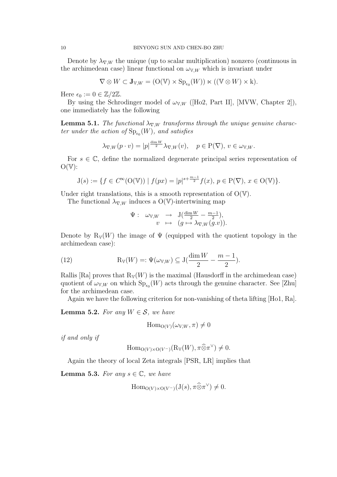Denote by  $\lambda_{\nabla,W}$  the unique (up to scalar multiplication) nonzero (continuous in the archimedean case) linear functional on  $\omega_{V,W}$  which is invariant under

$$
\nabla \otimes W \subset \mathbf{J}_{V,W} = (\mathcal{O}(\mathbb{V}) \times \mathrm{Sp}_{\epsilon_0}(W)) \ltimes ((\mathbb{V} \otimes W) \times k).
$$

Here  $\epsilon_0 := 0 \in \mathbb{Z}/2\mathbb{Z}$ .

By using the Schrodinger model of  $\omega_{V,W}$  ([Ho2, Part II], [MVW, Chapter 2]), one immediately has the following

**Lemma 5.1.** The functional  $\lambda_{\nabla,W}$  transforms through the unique genuine character under the action of  $\mathrm{Sp}_{\epsilon_0}(W)$ , and satisfies

$$
\lambda_{\nabla,W}(p \cdot v) = |p|^{\frac{\dim W}{2}} \lambda_{\nabla,W}(v), \quad p \in \mathcal{P}(\nabla), \ v \in \omega_{\mathbb{V},W}.
$$

For  $s \in \mathbb{C}$ , define the normalized degenerate principal series representation of  $O(V)$ :

$$
J(s) := \{ f \in C^{\infty}(\mathcal{O}(\mathbb{V})) \mid f(px) = |p|^{s + \frac{m-1}{2}} f(x), \ p \in \mathcal{P}(\nabla), \ x \in \mathcal{O}(\mathbb{V}) \}.
$$

Under right translations, this is a smooth representation of  $O(V)$ .

The functional  $\lambda_{\nabla,W}$  induces a O(V)-intertwining map

$$
\Psi: \omega_{\mathbb{V},W} \rightarrow J(\frac{\dim W}{2} - \frac{m-1}{2}),
$$
  

$$
v \mapsto (g \mapsto \lambda_{\nabla,W}(g.v)).
$$

Denote by  $R_V(W)$  the image of  $\Psi$  (equipped with the quotient topology in the archimedean case):

(12) 
$$
R_V(W) =: \Psi(\omega_{V,W}) \subseteq J(\frac{\dim W}{2} - \frac{m-1}{2}).
$$

Rallis [Ra] proves that  $R_V(W)$  is the maximal (Hausdorff in the archimedean case) quotient of  $\omega_{V,W}$  on which  $\text{Sp}_{\epsilon_0}(W)$  acts through the genuine character. See [Zhu] for the archimedean case.

Again we have the following criterion for non-vanishing of theta lifting [Ho1, Ra].

**Lemma 5.2.** For any  $W \in \mathcal{S}$ , we have

$$
\operatorname{Hom}_{\mathcal{O}(V)}(\omega_{V,W}, \pi) \neq 0
$$

if and only if

$$
\mathrm{Hom}_{\mathrm{O}(V)\times \mathrm{O}(V^-)}(\mathrm{R}_{\mathbb{V}}(W),\pi\widehat{\otimes}\pi^{\vee})\neq 0.
$$

Again the theory of local Zeta integrals [PSR, LR] implies that

**Lemma 5.3.** For any  $s \in \mathbb{C}$ , we have

$$
\mathrm{Hom}_{\mathrm{O}(V)\times \mathrm{O}(V^-)}(\mathrm{J}(s),\pi\widehat{\otimes}\pi^\vee)\neq 0.
$$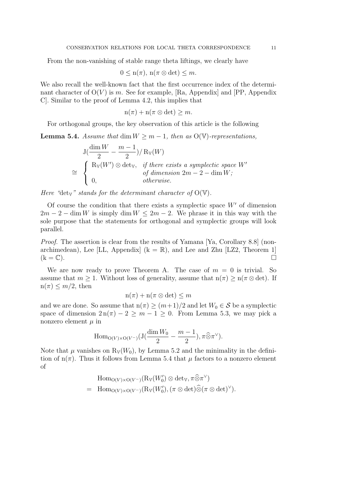From the non-vanishing of stable range theta liftings, we clearly have

$$
0 \leq n(\pi), n(\pi \otimes \det) \leq m.
$$

We also recall the well-known fact that the first occurrence index of the determinant character of  $O(V)$  is m. See for example, [Ra, Appendix] and [PP, Appendix] C]. Similar to the proof of Lemma 4.2, this implies that

$$
n(\pi) + n(\pi \otimes \det) \geq m.
$$

For orthogonal groups, the key observation of this article is the following

**Lemma 5.4.** Assume that dim  $W \ge m - 1$ , then as  $O(V)$ -representations,

$$
J\left(\frac{\dim W}{2} - \frac{m-1}{2}\right) / R_V(W)
$$
  
\n
$$
\cong \begin{cases} R_V(W') \otimes \text{det}_V, & \text{if there exists a symplectic space } W' \\ 0, & \text{otherwise.} \end{cases}
$$

Here "dety" stands for the determinant character of  $O(V)$ .

Of course the condition that there exists a symplectic space  $W'$  of dimension  $2m - 2 - \dim W$  is simply  $\dim W \leq 2m - 2$ . We phrase it in this way with the sole purpose that the statements for orthogonal and symplectic groups will look parallel.

Proof. The assertion is clear from the results of Yamana [Ya, Corollary 8.8] (nonarchimedean), Lee [LL, Appendix]  $(k = \mathbb{R})$ , and Lee and Zhu [LZ2, Theorem 1]  $(k = \mathbb{C})$ .

We are now ready to prove Theorem A. The case of  $m = 0$  is trivial. So assume that  $m \geq 1$ . Without loss of generality, assume that  $n(\pi) \geq n(\pi \otimes \det)$ . If  $n(\pi) \leq m/2$ , then

$$
n(\pi) + n(\pi \otimes \det) \leq m
$$

and we are done. So assume that  $n(\pi) \ge (m+1)/2$  and let  $W_0 \in \mathcal{S}$  be a symplectic space of dimension  $2\ln(\pi) - 2 \ge m - 1 \ge 0$ . From Lemma 5.3, we may pick a nonzero element  $\mu$  in

$$
\operatorname{Hom}_{\mathcal{O}(V)\times \mathcal{O}(V^-)}(\mathcal{J}(\frac{\dim W_0}{2}-\frac{m-1}{2}), \pi \widehat{\otimes} \pi^{\vee}).
$$

Note that  $\mu$  vanishes on  $R_V(W_0)$ , by Lemma 5.2 and the minimality in the definition of  $n(\pi)$ . Thus it follows from Lemma 5.4 that  $\mu$  factors to a nonzero element of

$$
\text{Hom}_{O(V)\times O(V^-)}(\text{R}_{V}(W'_0)\otimes \text{det}_{V}, \pi\widehat{\otimes}\pi^{\vee})
$$
\n
$$
= \text{Hom}_{O(V)\times O(V^-)}(\text{R}_{V}(W'_0), (\pi\otimes \text{det})\widehat{\otimes}(\pi\otimes \text{det})^{\vee}).
$$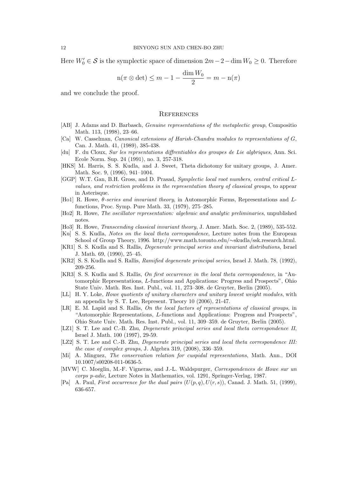Here  $W'_0 \in \mathcal{S}$  is the symplectic space of dimension  $2m-2-\dim W_0 \geq 0$ . Therefore

$$
n(\pi \otimes \det) \le m - 1 - \frac{\dim W_0}{2} = m - n(\pi)
$$

and we conclude the proof.

#### **REFERENCES**

- [AB] J. Adams and D. Barbasch, Genuine representations of the metaplectic group, Compositio Math. 113, (1998), 23–66.
- [Ca] W. Casselman, Canonical extensions of Harish-Chandra modules to representations of G, Can. J. Math. 41, (1989), 385-438.
- [du] F. du Cloux, Sur les reprsentations diffrentiables des groupes de Lie algbriques, Ann. Sci. Ecole Norm. Sup. 24 (1991), no. 3, 257-318.
- [HKS] M. Harris, S. S. Kudla, and J. Sweet, Theta dichotomy for unitary groups, J. Amer. Math. Soc. 9, (1996), 941–1004.
- [GGP] W.T. Gan, B.H. Gross, and D. Prasad, Symplectic local root numbers, central critical Lvalues, and restriction problems in the representation theory of classical groups, to appear in Asterisque.
- [Ho1] R. Howe,  $\theta$ -series and invariant theory, in Automorphic Forms, Representations and Lfunctions, Proc. Symp. Pure Math. 33, (1979), 275–285.
- [Ho2] R. Howe, The oscillator representation: algebraic and analytic preliminaries, unpublished notes.
- [Ho3] R. Howe, Transcending classical invariant theory, J. Amer. Math. Soc. 2, (1989), 535-552.
- [Ku] S. S. Kudla, Notes on the local theta correspondence, Lecture notes from the European School of Group Theory, 1996. http://www.math.toronto.edu/∼skudla/ssk.research.html.
- [KR1] S. S. Kudla and S. Rallis, Degenerate principal series and invariant distributions, Israel J. Math. 69, (1990), 25–45.
- [KR2] S. S. Kudla and S. Rallis, *Ramified degenerate principal series*, Israel J. Math. 78, (1992), 209-256.
- [KR3] S. S. Kudla and S. Rallis, On first occurrence in the local theta correspondence, in "Automorphic Representations, L-functions and Applications: Progress and Prospects", Ohio State Univ. Math. Res. Inst. Publ., vol. 11, 273–308. de Gruyter, Berlin (2005).
- [LL] H. Y. Loke, Howe quotients of unitary characters and unitary lowest weight modules, with an appendix by S. T. Lee, Represent. Theory 10 (2006), 21-47.
- [LR] E. M. Lapid and S. Rallis, On the local factors of representations of classical groups, in "Automorphic Representations, L-functions and Applications: Progress and Prospects", Ohio State Univ. Math. Res. Inst. Publ., vol. 11, 309–359. de Gruyter, Berlin (2005).
- [LZ1] S. T. Lee and C.-B. Zhu, *Degenerate principal series and local theta correspondence II*, Israel J. Math. 100 (1997), 29-59.
- [LZ2] S. T. Lee and C.-B. Zhu, *Degenerate principal series and local theta correspondence III:* the case of complex groups, J. Algebra 319, (2008), 336–359.
- [Mi] A. Minguez, The conservation relation for cuspidal representations, Math. Ann., DOI 10.1007/s00208-011-0636-5.
- [MVW] C. Moeglin, M.-F. Vigneras, and J.-L. Waldspurger, Correspondences de Howe sur un corps p-adic, Lecture Notes in Mathematics, vol. 1291, Springer-Verlag, 1987.
- [Pa] A. Paul, First occurrence for the dual pairs  $(U(p,q),U(r,s))$ , Canad. J. Math. 51, (1999), 636-657.